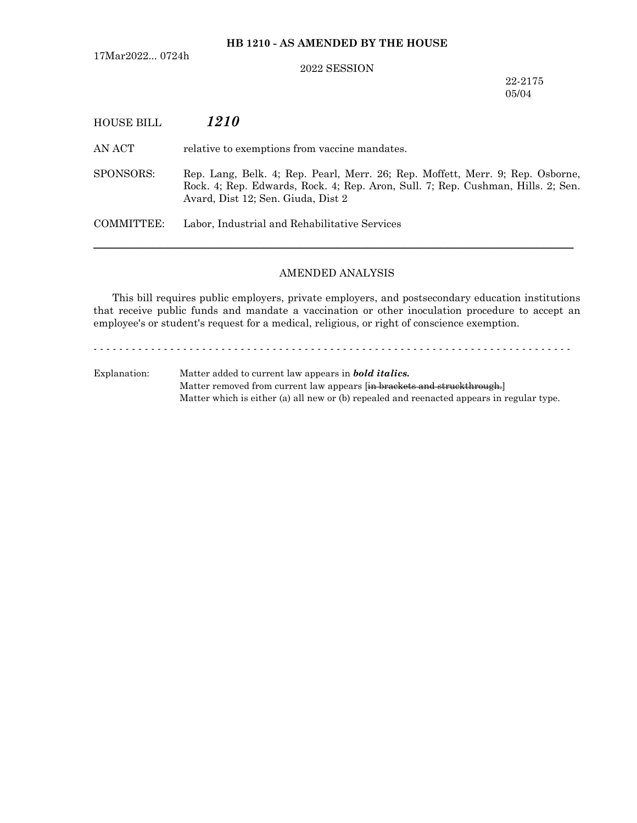## 2022 SESSION

22-2175 05/04

| <b>HOUSE BILL</b> | 1210                                                                                                                                                                                                     |
|-------------------|----------------------------------------------------------------------------------------------------------------------------------------------------------------------------------------------------------|
| AN ACT            | relative to exemptions from vaccine mandates.                                                                                                                                                            |
| SPONSORS:         | Rep. Lang, Belk. 4; Rep. Pearl, Merr. 26; Rep. Moffett, Merr. 9; Rep. Osborne,<br>Rock. 4; Rep. Edwards, Rock. 4; Rep. Aron, Sull. 7; Rep. Cushman, Hills. 2; Sen.<br>Avard, Dist 12; Sen. Giuda, Dist 2 |
| COMMITTEE:        | Labor, Industrial and Rehabilitative Services                                                                                                                                                            |
|                   |                                                                                                                                                                                                          |

## AMENDED ANALYSIS

This bill requires public employers, private employers, and postsecondary education institutions that receive public funds and mandate a vaccination or other inoculation procedure to accept an employee's or student's request for a medical, religious, or right of conscience exemption.

- - - - - - - - - - - - - - - - - - - - - - - - - - - - - - - - - - - - - - - - - - - - - - - - - - - - - - - - - - - - - - - - - - - - - - - - - - -

Explanation: Matter added to current law appears in *bold italics.* Matter removed from current law appears [in brackets and struckthrough.] Matter which is either (a) all new or (b) repealed and reenacted appears in regular type.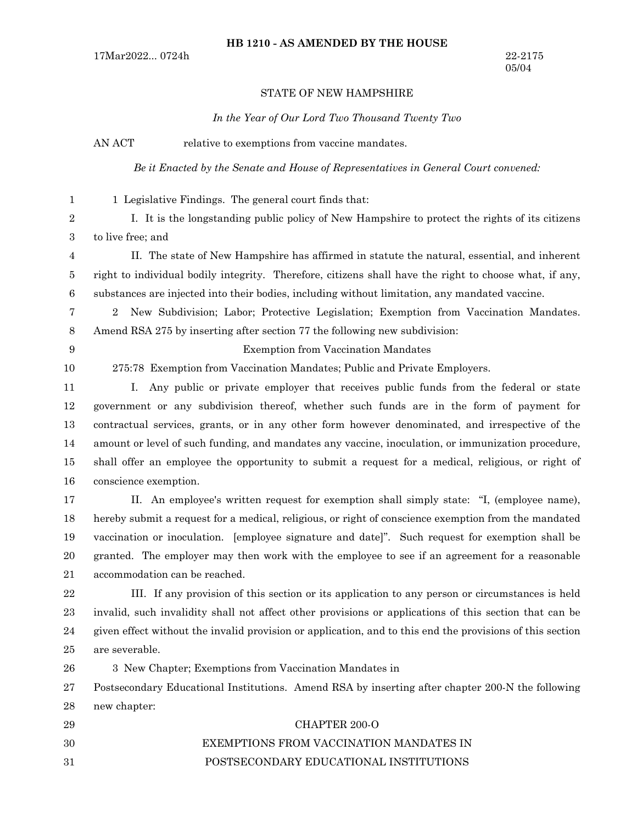## STATE OF NEW HAMPSHIRE

*In the Year of Our Lord Two Thousand Twenty Two*

AN ACT relative to exemptions from vaccine mandates.

*Be it Enacted by the Senate and House of Representatives in General Court convened:*

- 1 Legislative Findings. The general court finds that: I. It is the longstanding public policy of New Hampshire to protect the rights of its citizens to live free; and 1 2 3
- II. The state of New Hampshire has affirmed in statute the natural, essential, and inherent right to individual bodily integrity. Therefore, citizens shall have the right to choose what, if any, substances are injected into their bodies, including without limitation, any mandated vaccine. 4 5 6
- 2 New Subdivision; Labor; Protective Legislation; Exemption from Vaccination Mandates. Amend RSA 275 by inserting after section 77 the following new subdivision: 7 8
- 9
- 10

Exemption from Vaccination Mandates

275:78 Exemption from Vaccination Mandates; Public and Private Employers.

- I. Any public or private employer that receives public funds from the federal or state government or any subdivision thereof, whether such funds are in the form of payment for contractual services, grants, or in any other form however denominated, and irrespective of the amount or level of such funding, and mandates any vaccine, inoculation, or immunization procedure, shall offer an employee the opportunity to submit a request for a medical, religious, or right of conscience exemption. 11 12 13 14 15 16
- II. An employee's written request for exemption shall simply state: "I, (employee name), hereby submit a request for a medical, religious, or right of conscience exemption from the mandated vaccination or inoculation. [employee signature and date]". Such request for exemption shall be granted. The employer may then work with the employee to see if an agreement for a reasonable accommodation can be reached. 17 18 19 20 21
- III. If any provision of this section or its application to any person or circumstances is held invalid, such invalidity shall not affect other provisions or applications of this section that can be given effect without the invalid provision or application, and to this end the provisions of this section are severable. 22 23 24 25

3 New Chapter; Exemptions from Vaccination Mandates in 26

Postsecondary Educational Institutions. Amend RSA by inserting after chapter 200-N the following new chapter: 27 28

CHAPTER 200-O EXEMPTIONS FROM VACCINATION MANDATES IN POSTSECONDARY EDUCATIONAL INSTITUTIONS 29 30 31